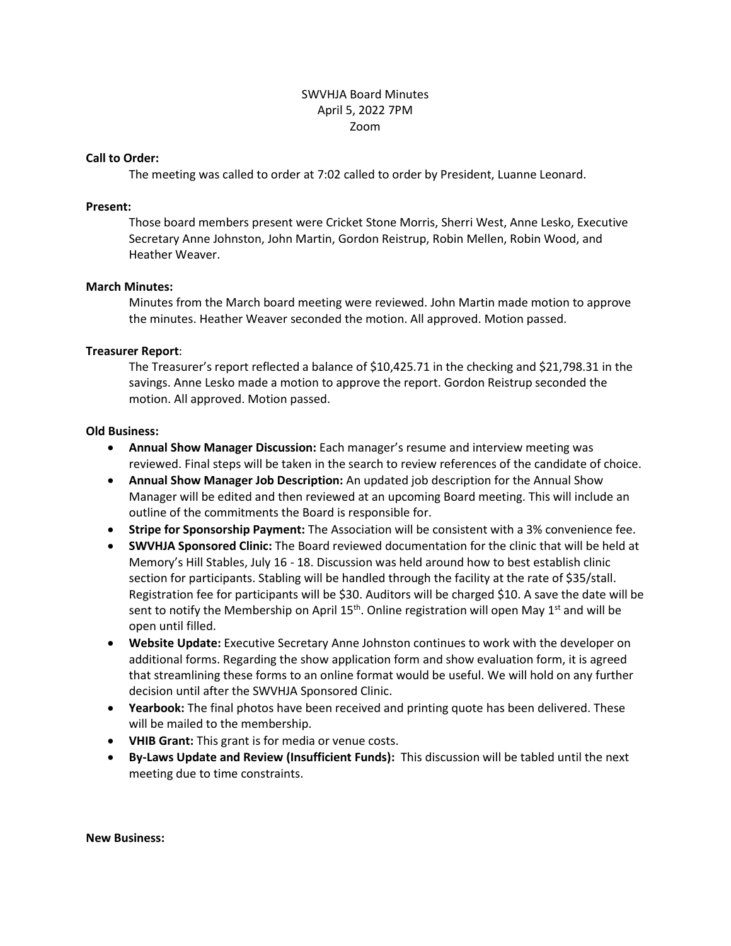## SWVHJA Board Minutes April 5, 2022 7PM Zoom

#### **Call to Order:**

The meeting was called to order at 7:02 called to order by President, Luanne Leonard.

#### **Present:**

Those board members present were Cricket Stone Morris, Sherri West, Anne Lesko, Executive Secretary Anne Johnston, John Martin, Gordon Reistrup, Robin Mellen, Robin Wood, and Heather Weaver.

### **March Minutes:**

Minutes from the March board meeting were reviewed. John Martin made motion to approve the minutes. Heather Weaver seconded the motion. All approved. Motion passed.

### **Treasurer Report**:

The Treasurer's report reflected a balance of \$10,425.71 in the checking and \$21,798.31 in the savings. Anne Lesko made a motion to approve the report. Gordon Reistrup seconded the motion. All approved. Motion passed.

### **Old Business:**

- **Annual Show Manager Discussion:** Each manager's resume and interview meeting was reviewed. Final steps will be taken in the search to review references of the candidate of choice.
- **Annual Show Manager Job Description:** An updated job description for the Annual Show Manager will be edited and then reviewed at an upcoming Board meeting. This will include an outline of the commitments the Board is responsible for.
- **Stripe for Sponsorship Payment:** The Association will be consistent with a 3% convenience fee.
- **SWVHJA Sponsored Clinic:** The Board reviewed documentation for the clinic that will be held at Memory's Hill Stables, July 16 - 18. Discussion was held around how to best establish clinic section for participants. Stabling will be handled through the facility at the rate of \$35/stall. Registration fee for participants will be \$30. Auditors will be charged \$10. A save the date will be sent to notify the Membership on April  $15<sup>th</sup>$ . Online registration will open May  $1<sup>st</sup>$  and will be open until filled.
- **Website Update:** Executive Secretary Anne Johnston continues to work with the developer on additional forms. Regarding the show application form and show evaluation form, it is agreed that streamlining these forms to an online format would be useful. We will hold on any further decision until after the SWVHJA Sponsored Clinic.
- **Yearbook:** The final photos have been received and printing quote has been delivered. These will be mailed to the membership.
- **VHIB Grant:** This grant is for media or venue costs.
- **By-Laws Update and Review (Insufficient Funds):** This discussion will be tabled until the next meeting due to time constraints.

**New Business:**